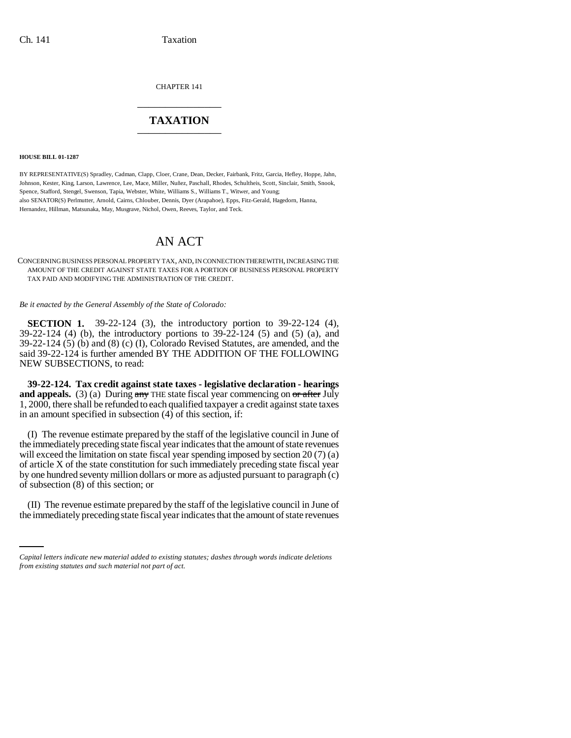CHAPTER 141 \_\_\_\_\_\_\_\_\_\_\_\_\_\_\_

## **TAXATION** \_\_\_\_\_\_\_\_\_\_\_\_\_\_\_

**HOUSE BILL 01-1287**

BY REPRESENTATIVE(S) Spradley, Cadman, Clapp, Cloer, Crane, Dean, Decker, Fairbank, Fritz, Garcia, Hefley, Hoppe, Jahn, Johnson, Kester, King, Larson, Lawrence, Lee, Mace, Miller, Nuñez, Paschall, Rhodes, Schultheis, Scott, Sinclair, Smith, Snook, Spence, Stafford, Stengel, Swenson, Tapia, Webster, White, Williams S., Williams T., Witwer, and Young; also SENATOR(S) Perlmutter, Arnold, Cairns, Chlouber, Dennis, Dyer (Arapahoe), Epps, Fitz-Gerald, Hagedorn, Hanna, Hernandez, Hillman, Matsunaka, May, Musgrave, Nichol, Owen, Reeves, Taylor, and Teck.

# AN ACT

CONCERNING BUSINESS PERSONAL PROPERTY TAX, AND, IN CONNECTION THEREWITH, INCREASING THE AMOUNT OF THE CREDIT AGAINST STATE TAXES FOR A PORTION OF BUSINESS PERSONAL PROPERTY TAX PAID AND MODIFYING THE ADMINISTRATION OF THE CREDIT.

*Be it enacted by the General Assembly of the State of Colorado:*

**SECTION 1.** 39-22-124 (3), the introductory portion to 39-22-124 (4), 39-22-124 (4) (b), the introductory portions to 39-22-124 (5) and (5) (a), and 39-22-124 (5) (b) and (8) (c) (I), Colorado Revised Statutes, are amended, and the said 39-22-124 is further amended BY THE ADDITION OF THE FOLLOWING NEW SUBSECTIONS, to read:

**39-22-124. Tax credit against state taxes - legislative declaration - hearings** and appeals. (3) (a) During any THE state fiscal year commencing on or after July 1, 2000, there shall be refunded to each qualified taxpayer a credit against state taxes in an amount specified in subsection  $(4)$  of this section, if:

(I) The revenue estimate prepared by the staff of the legislative council in June of the immediately preceding state fiscal year indicates that the amount of state revenues will exceed the limitation on state fiscal year spending imposed by section 20 (7) (a) of article X of the state constitution for such immediately preceding state fiscal year by one hundred seventy million dollars or more as adjusted pursuant to paragraph (c) of subsection (8) of this section; or

(II) The revenue estimate prepared by the staff of the legislative council in June of the immediately preceding state fiscal year indicates that the amount of state revenues

*Capital letters indicate new material added to existing statutes; dashes through words indicate deletions from existing statutes and such material not part of act.*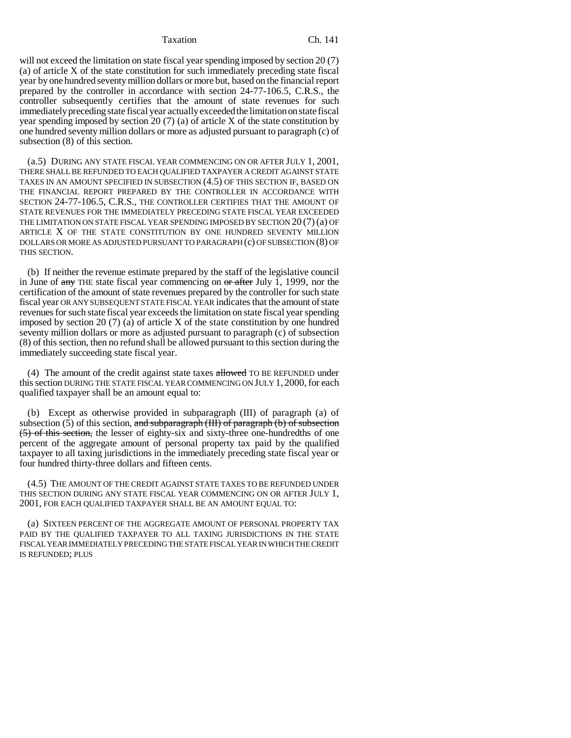### Taxation Ch. 141

will not exceed the limitation on state fiscal year spending imposed by section 20 (7) (a) of article X of the state constitution for such immediately preceding state fiscal year by one hundred seventy million dollars or more but, based on the financial report prepared by the controller in accordance with section 24-77-106.5, C.R.S., the controller subsequently certifies that the amount of state revenues for such immediately preceding state fiscal year actually exceeded the limitation on state fiscal year spending imposed by section 20 (7) (a) of article X of the state constitution by one hundred seventy million dollars or more as adjusted pursuant to paragraph (c) of subsection (8) of this section.

(a.5) DURING ANY STATE FISCAL YEAR COMMENCING ON OR AFTER JULY 1, 2001, THERE SHALL BE REFUNDED TO EACH QUALIFIED TAXPAYER A CREDIT AGAINST STATE TAXES IN AN AMOUNT SPECIFIED IN SUBSECTION (4.5) OF THIS SECTION IF, BASED ON THE FINANCIAL REPORT PREPARED BY THE CONTROLLER IN ACCORDANCE WITH SECTION 24-77-106.5, C.R.S., THE CONTROLLER CERTIFIES THAT THE AMOUNT OF STATE REVENUES FOR THE IMMEDIATELY PRECEDING STATE FISCAL YEAR EXCEEDED THE LIMITATION ON STATE FISCAL YEAR SPENDING IMPOSED BY SECTION 20 (7) (a) OF ARTICLE X OF THE STATE CONSTITUTION BY ONE HUNDRED SEVENTY MILLION DOLLARS OR MORE AS ADJUSTED PURSUANT TO PARAGRAPH (c) OF SUBSECTION (8) OF THIS SECTION.

(b) If neither the revenue estimate prepared by the staff of the legislative council in June of  $\frac{1}{2}$  THE state fiscal year commencing on  $\frac{1}{2}$  after July 1, 1999, nor the certification of the amount of state revenues prepared by the controller for such state fiscal year OR ANY SUBSEQUENT STATE FISCAL YEAR indicates that the amount of state revenues for such state fiscal year exceeds the limitation on state fiscal year spending imposed by section 20  $(7)$  (a) of article X of the state constitution by one hundred seventy million dollars or more as adjusted pursuant to paragraph (c) of subsection (8) of this section, then no refund shall be allowed pursuant to this section during the immediately succeeding state fiscal year.

(4) The amount of the credit against state taxes  $allowed$  TO BE REFUNDED under this section DURING THE STATE FISCAL YEAR COMMENCING ON JULY 1, 2000, for each qualified taxpayer shall be an amount equal to:

(b) Except as otherwise provided in subparagraph (III) of paragraph (a) of subsection  $(5)$  of this section, and subparagraph  $(HI)$  of paragraph  $(b)$  of subsection (5) of this section, the lesser of eighty-six and sixty-three one-hundredths of one percent of the aggregate amount of personal property tax paid by the qualified taxpayer to all taxing jurisdictions in the immediately preceding state fiscal year or four hundred thirty-three dollars and fifteen cents.

(4.5) THE AMOUNT OF THE CREDIT AGAINST STATE TAXES TO BE REFUNDED UNDER THIS SECTION DURING ANY STATE FISCAL YEAR COMMENCING ON OR AFTER JULY 1, 2001, FOR EACH QUALIFIED TAXPAYER SHALL BE AN AMOUNT EQUAL TO:

(a) SIXTEEN PERCENT OF THE AGGREGATE AMOUNT OF PERSONAL PROPERTY TAX PAID BY THE QUALIFIED TAXPAYER TO ALL TAXING JURISDICTIONS IN THE STATE FISCAL YEAR IMMEDIATELY PRECEDING THE STATE FISCAL YEAR IN WHICH THE CREDIT IS REFUNDED; PLUS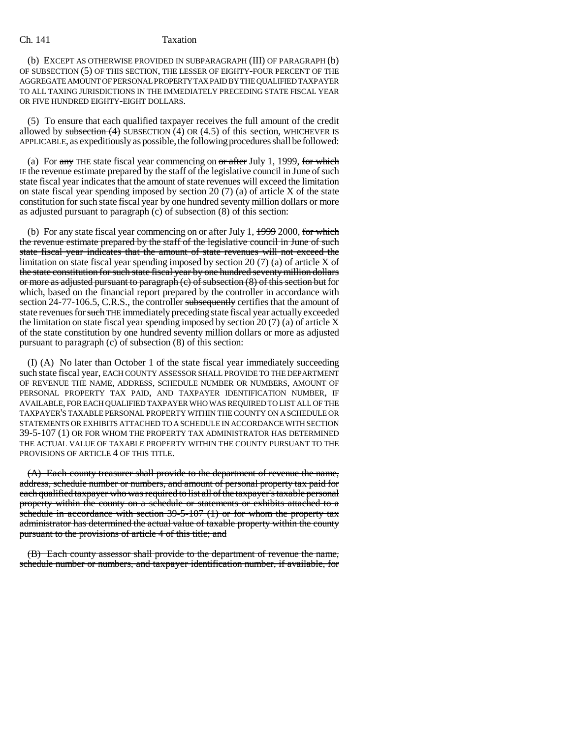### Ch. 141 Taxation

(b) EXCEPT AS OTHERWISE PROVIDED IN SUBPARAGRAPH (III) OF PARAGRAPH (b) OF SUBSECTION (5) OF THIS SECTION, THE LESSER OF EIGHTY-FOUR PERCENT OF THE AGGREGATE AMOUNT OF PERSONAL PROPERTY TAX PAID BY THE QUALIFIED TAXPAYER TO ALL TAXING JURISDICTIONS IN THE IMMEDIATELY PRECEDING STATE FISCAL YEAR OR FIVE HUNDRED EIGHTY-EIGHT DOLLARS.

(5) To ensure that each qualified taxpayer receives the full amount of the credit allowed by subsection  $(4)$  SUBSECTION  $(4)$  OR  $(4.5)$  of this section, WHICHEVER IS APPLICABLE, as expeditiously as possible, the following procedures shall be followed:

(a) For  $\frac{any}{any}$  THE state fiscal year commencing on  $\frac{or}{any}$  after July 1, 1999, for which IF the revenue estimate prepared by the staff of the legislative council in June of such state fiscal year indicates that the amount of state revenues will exceed the limitation on state fiscal year spending imposed by section 20 (7) (a) of article X of the state constitution for such state fiscal year by one hundred seventy million dollars or more as adjusted pursuant to paragraph (c) of subsection (8) of this section:

(b) For any state fiscal year commencing on or after July 1,  $19992000$ , for which the revenue estimate prepared by the staff of the legislative council in June of such state fiscal year indicates that the amount of state revenues will not exceed the limitation on state fiscal year spending imposed by section  $20(7)(a)$  of article X of the state constitution for such state fiscal year by one hundred seventy million dollars or more as adjusted pursuant to paragraph (c) of subsection (8) of this section but for which, based on the financial report prepared by the controller in accordance with section 24-77-106.5, C.R.S., the controller subsequently certifies that the amount of state revenues for such THE immediately preceding state fiscal year actually exceeded the limitation on state fiscal year spending imposed by section 20  $(7)$  (a) of article X of the state constitution by one hundred seventy million dollars or more as adjusted pursuant to paragraph (c) of subsection (8) of this section:

(I) (A) No later than October 1 of the state fiscal year immediately succeeding such state fiscal year, EACH COUNTY ASSESSOR SHALL PROVIDE TO THE DEPARTMENT OF REVENUE THE NAME, ADDRESS, SCHEDULE NUMBER OR NUMBERS, AMOUNT OF PERSONAL PROPERTY TAX PAID, AND TAXPAYER IDENTIFICATION NUMBER, IF AVAILABLE, FOR EACH QUALIFIED TAXPAYER WHO WAS REQUIRED TO LIST ALL OF THE TAXPAYER'S TAXABLE PERSONAL PROPERTY WITHIN THE COUNTY ON A SCHEDULE OR STATEMENTS OR EXHIBITS ATTACHED TO A SCHEDULE IN ACCORDANCE WITH SECTION 39-5-107 (1) OR FOR WHOM THE PROPERTY TAX ADMINISTRATOR HAS DETERMINED THE ACTUAL VALUE OF TAXABLE PROPERTY WITHIN THE COUNTY PURSUANT TO THE PROVISIONS OF ARTICLE 4 OF THIS TITLE.

(A) Each county treasurer shall provide to the department of revenue the name, address, schedule number or numbers, and amount of personal property tax paid for each qualified taxpayer who was required to list all of the taxpayer's taxable personal property within the county on a schedule or statements or exhibits attached to a schedule in accordance with section 39-5-107 (1) or for whom the property tax administrator has determined the actual value of taxable property within the county pursuant to the provisions of article 4 of this title; and

(B) Each county assessor shall provide to the department of revenue the name, schedule number or numbers, and taxpayer identification number, if available, for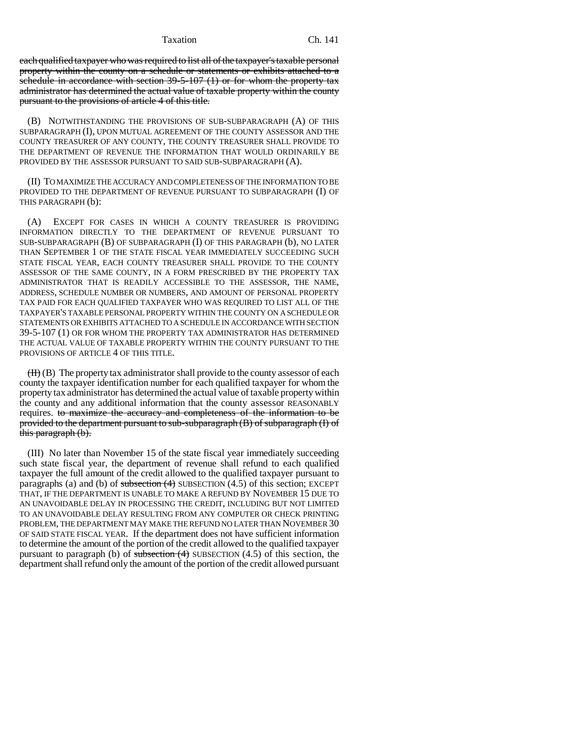Taxation Ch. 141

each qualified taxpayer who was required to list all of the taxpayer's taxable personal property within the county on a schedule or statements or exhibits attached to a schedule in accordance with section  $39-5-107$  (1) or for whom the property tax administrator has determined the actual value of taxable property within the county pursuant to the provisions of article 4 of this title.

(B) NOTWITHSTANDING THE PROVISIONS OF SUB-SUBPARAGRAPH (A) OF THIS SUBPARAGRAPH (I), UPON MUTUAL AGREEMENT OF THE COUNTY ASSESSOR AND THE COUNTY TREASURER OF ANY COUNTY, THE COUNTY TREASURER SHALL PROVIDE TO THE DEPARTMENT OF REVENUE THE INFORMATION THAT WOULD ORDINARILY BE PROVIDED BY THE ASSESSOR PURSUANT TO SAID SUB-SUBPARAGRAPH (A).

(II) TO MAXIMIZE THE ACCURACY AND COMPLETENESS OF THE INFORMATION TO BE PROVIDED TO THE DEPARTMENT OF REVENUE PURSUANT TO SUBPARAGRAPH (I) OF THIS PARAGRAPH (b):

(A) EXCEPT FOR CASES IN WHICH A COUNTY TREASURER IS PROVIDING INFORMATION DIRECTLY TO THE DEPARTMENT OF REVENUE PURSUANT TO SUB-SUBPARAGRAPH (B) OF SUBPARAGRAPH (I) OF THIS PARAGRAPH (b), NO LATER THAN SEPTEMBER 1 OF THE STATE FISCAL YEAR IMMEDIATELY SUCCEEDING SUCH STATE FISCAL YEAR, EACH COUNTY TREASURER SHALL PROVIDE TO THE COUNTY ASSESSOR OF THE SAME COUNTY, IN A FORM PRESCRIBED BY THE PROPERTY TAX ADMINISTRATOR THAT IS READILY ACCESSIBLE TO THE ASSESSOR, THE NAME, ADDRESS, SCHEDULE NUMBER OR NUMBERS, AND AMOUNT OF PERSONAL PROPERTY TAX PAID FOR EACH QUALIFIED TAXPAYER WHO WAS REQUIRED TO LIST ALL OF THE TAXPAYER'S TAXABLE PERSONAL PROPERTY WITHIN THE COUNTY ON A SCHEDULE OR STATEMENTS OR EXHIBITS ATTACHED TO A SCHEDULE IN ACCORDANCE WITH SECTION 39-5-107 (1) OR FOR WHOM THE PROPERTY TAX ADMINISTRATOR HAS DETERMINED THE ACTUAL VALUE OF TAXABLE PROPERTY WITHIN THE COUNTY PURSUANT TO THE PROVISIONS OF ARTICLE 4 OF THIS TITLE.

 $(H)$  (B) The property tax administrator shall provide to the county assessor of each county the taxpayer identification number for each qualified taxpayer for whom the property tax administrator has determined the actual value of taxable property within the county and any additional information that the county assessor REASONABLY requires. to maximize the accuracy and completeness of the information to be provided to the department pursuant to sub-subparagraph (B) of subparagraph (I) of this paragraph (b).

(III) No later than November 15 of the state fiscal year immediately succeeding such state fiscal year, the department of revenue shall refund to each qualified taxpayer the full amount of the credit allowed to the qualified taxpayer pursuant to paragraphs (a) and (b) of subsection  $(4)$  SUBSECTION  $(4.5)$  of this section; EXCEPT THAT, IF THE DEPARTMENT IS UNABLE TO MAKE A REFUND BY NOVEMBER 15 DUE TO AN UNAVOIDABLE DELAY IN PROCESSING THE CREDIT, INCLUDING BUT NOT LIMITED TO AN UNAVOIDABLE DELAY RESULTING FROM ANY COMPUTER OR CHECK PRINTING PROBLEM, THE DEPARTMENT MAY MAKE THE REFUND NO LATER THAN NOVEMBER 30 OF SAID STATE FISCAL YEAR. If the department does not have sufficient information to determine the amount of the portion of the credit allowed to the qualified taxpayer pursuant to paragraph (b) of subsection  $(4)$  SUBSECTION  $(4.5)$  of this section, the department shall refund only the amount of the portion of the credit allowed pursuant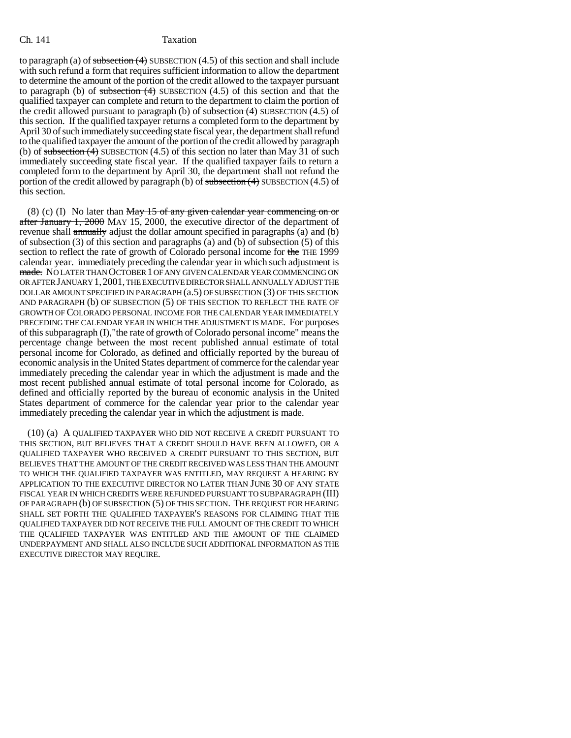to paragraph (a) of subsection  $(4)$  SUBSECTION  $(4.5)$  of this section and shall include with such refund a form that requires sufficient information to allow the department to determine the amount of the portion of the credit allowed to the taxpayer pursuant to paragraph (b) of subsection  $(4)$  SUBSECTION  $(4.5)$  of this section and that the qualified taxpayer can complete and return to the department to claim the portion of the credit allowed pursuant to paragraph (b) of  $\frac{\text{subsection}(4)}{\text{subsection}(4)}$  SUBSECTION (4.5) of this section. If the qualified taxpayer returns a completed form to the department by April 30 of such immediately succeeding state fiscal year, the department shall refund to the qualified taxpayer the amount of the portion of the credit allowed by paragraph (b) of subsection  $(4)$  SUBSECTION  $(4.5)$  of this section no later than May 31 of such immediately succeeding state fiscal year. If the qualified taxpayer fails to return a completed form to the department by April 30, the department shall not refund the portion of the credit allowed by paragraph (b) of subsection  $(4)$  SUBSECTION  $(4.5)$  of this section.

(8) (c) (I) No later than  $May 15$  of any given calendar year commencing on or after January 1, 2000 MAY 15, 2000, the executive director of the department of revenue shall annually adjust the dollar amount specified in paragraphs (a) and (b) of subsection (3) of this section and paragraphs (a) and (b) of subsection (5) of this section to reflect the rate of growth of Colorado personal income for the THE 1999 calendar year. immediately preceding the calendar year in which such adjustment is made. NO LATER THAN OCTOBER 1 OF ANY GIVEN CALENDAR YEAR COMMENCING ON OR AFTER JANUARY 1,2001, THE EXECUTIVE DIRECTOR SHALL ANNUALLY ADJUST THE DOLLAR AMOUNT SPECIFIED IN PARAGRAPH (a.5) OF SUBSECTION (3) OF THIS SECTION AND PARAGRAPH (b) OF SUBSECTION (5) OF THIS SECTION TO REFLECT THE RATE OF GROWTH OF COLORADO PERSONAL INCOME FOR THE CALENDAR YEAR IMMEDIATELY PRECEDING THE CALENDAR YEAR IN WHICH THE ADJUSTMENT IS MADE. For purposes of this subparagraph (I),"the rate of growth of Colorado personal income" means the percentage change between the most recent published annual estimate of total personal income for Colorado, as defined and officially reported by the bureau of economic analysis in the United States department of commerce for the calendar year immediately preceding the calendar year in which the adjustment is made and the most recent published annual estimate of total personal income for Colorado, as defined and officially reported by the bureau of economic analysis in the United States department of commerce for the calendar year prior to the calendar year immediately preceding the calendar year in which the adjustment is made.

(10) (a) A QUALIFIED TAXPAYER WHO DID NOT RECEIVE A CREDIT PURSUANT TO THIS SECTION, BUT BELIEVES THAT A CREDIT SHOULD HAVE BEEN ALLOWED, OR A QUALIFIED TAXPAYER WHO RECEIVED A CREDIT PURSUANT TO THIS SECTION, BUT BELIEVES THAT THE AMOUNT OF THE CREDIT RECEIVED WAS LESS THAN THE AMOUNT TO WHICH THE QUALIFIED TAXPAYER WAS ENTITLED, MAY REQUEST A HEARING BY APPLICATION TO THE EXECUTIVE DIRECTOR NO LATER THAN JUNE 30 OF ANY STATE FISCAL YEAR IN WHICH CREDITS WERE REFUNDED PURSUANT TO SUBPARAGRAPH (III) OF PARAGRAPH (b) OF SUBSECTION (5) OF THIS SECTION. THE REQUEST FOR HEARING SHALL SET FORTH THE QUALIFIED TAXPAYER'S REASONS FOR CLAIMING THAT THE QUALIFIED TAXPAYER DID NOT RECEIVE THE FULL AMOUNT OF THE CREDIT TO WHICH THE QUALIFIED TAXPAYER WAS ENTITLED AND THE AMOUNT OF THE CLAIMED UNDERPAYMENT AND SHALL ALSO INCLUDE SUCH ADDITIONAL INFORMATION AS THE EXECUTIVE DIRECTOR MAY REQUIRE.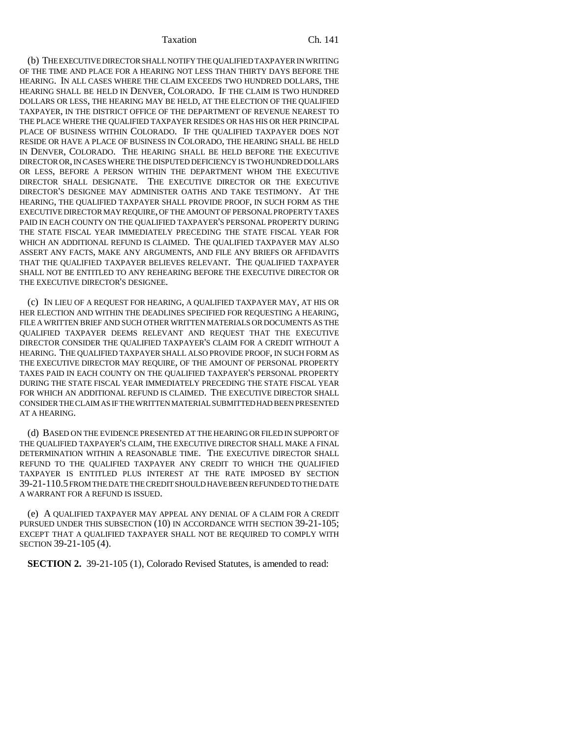Taxation Ch. 141

(b) THE EXECUTIVE DIRECTOR SHALL NOTIFY THE QUALIFIED TAXPAYER IN WRITING OF THE TIME AND PLACE FOR A HEARING NOT LESS THAN THIRTY DAYS BEFORE THE HEARING. IN ALL CASES WHERE THE CLAIM EXCEEDS TWO HUNDRED DOLLARS, THE HEARING SHALL BE HELD IN DENVER, COLORADO. IF THE CLAIM IS TWO HUNDRED DOLLARS OR LESS, THE HEARING MAY BE HELD, AT THE ELECTION OF THE QUALIFIED TAXPAYER, IN THE DISTRICT OFFICE OF THE DEPARTMENT OF REVENUE NEAREST TO THE PLACE WHERE THE QUALIFIED TAXPAYER RESIDES OR HAS HIS OR HER PRINCIPAL PLACE OF BUSINESS WITHIN COLORADO. IF THE QUALIFIED TAXPAYER DOES NOT RESIDE OR HAVE A PLACE OF BUSINESS IN COLORADO, THE HEARING SHALL BE HELD IN DENVER, COLORADO. THE HEARING SHALL BE HELD BEFORE THE EXECUTIVE DIRECTOR OR, IN CASES WHERE THE DISPUTED DEFICIENCY IS TWO HUNDRED DOLLARS OR LESS, BEFORE A PERSON WITHIN THE DEPARTMENT WHOM THE EXECUTIVE DIRECTOR SHALL DESIGNATE. THE EXECUTIVE DIRECTOR OR THE EXECUTIVE DIRECTOR'S DESIGNEE MAY ADMINISTER OATHS AND TAKE TESTIMONY. AT THE HEARING, THE QUALIFIED TAXPAYER SHALL PROVIDE PROOF, IN SUCH FORM AS THE EXECUTIVE DIRECTOR MAY REQUIRE, OF THE AMOUNT OF PERSONAL PROPERTY TAXES PAID IN EACH COUNTY ON THE QUALIFIED TAXPAYER'S PERSONAL PROPERTY DURING THE STATE FISCAL YEAR IMMEDIATELY PRECEDING THE STATE FISCAL YEAR FOR WHICH AN ADDITIONAL REFUND IS CLAIMED. THE QUALIFIED TAXPAYER MAY ALSO ASSERT ANY FACTS, MAKE ANY ARGUMENTS, AND FILE ANY BRIEFS OR AFFIDAVITS THAT THE QUALIFIED TAXPAYER BELIEVES RELEVANT. THE QUALIFIED TAXPAYER SHALL NOT BE ENTITLED TO ANY REHEARING BEFORE THE EXECUTIVE DIRECTOR OR THE EXECUTIVE DIRECTOR'S DESIGNEE.

(c) IN LIEU OF A REQUEST FOR HEARING, A QUALIFIED TAXPAYER MAY, AT HIS OR HER ELECTION AND WITHIN THE DEADLINES SPECIFIED FOR REQUESTING A HEARING, FILE A WRITTEN BRIEF AND SUCH OTHER WRITTEN MATERIALS OR DOCUMENTS AS THE QUALIFIED TAXPAYER DEEMS RELEVANT AND REQUEST THAT THE EXECUTIVE DIRECTOR CONSIDER THE QUALIFIED TAXPAYER'S CLAIM FOR A CREDIT WITHOUT A HEARING. THE QUALIFIED TAXPAYER SHALL ALSO PROVIDE PROOF, IN SUCH FORM AS THE EXECUTIVE DIRECTOR MAY REQUIRE, OF THE AMOUNT OF PERSONAL PROPERTY TAXES PAID IN EACH COUNTY ON THE QUALIFIED TAXPAYER'S PERSONAL PROPERTY DURING THE STATE FISCAL YEAR IMMEDIATELY PRECEDING THE STATE FISCAL YEAR FOR WHICH AN ADDITIONAL REFUND IS CLAIMED. THE EXECUTIVE DIRECTOR SHALL CONSIDER THE CLAIM AS IF THE WRITTEN MATERIAL SUBMITTED HAD BEEN PRESENTED AT A HEARING.

(d) BASED ON THE EVIDENCE PRESENTED AT THE HEARING OR FILED IN SUPPORT OF THE QUALIFIED TAXPAYER'S CLAIM, THE EXECUTIVE DIRECTOR SHALL MAKE A FINAL DETERMINATION WITHIN A REASONABLE TIME. THE EXECUTIVE DIRECTOR SHALL REFUND TO THE QUALIFIED TAXPAYER ANY CREDIT TO WHICH THE QUALIFIED TAXPAYER IS ENTITLED PLUS INTEREST AT THE RATE IMPOSED BY SECTION 39-21-110.5 FROM THE DATE THE CREDIT SHOULD HAVE BEEN REFUNDED TO THE DATE A WARRANT FOR A REFUND IS ISSUED.

(e) A QUALIFIED TAXPAYER MAY APPEAL ANY DENIAL OF A CLAIM FOR A CREDIT PURSUED UNDER THIS SUBSECTION (10) IN ACCORDANCE WITH SECTION 39-21-105; EXCEPT THAT A QUALIFIED TAXPAYER SHALL NOT BE REQUIRED TO COMPLY WITH SECTION 39-21-105 (4).

**SECTION 2.** 39-21-105 (1), Colorado Revised Statutes, is amended to read: